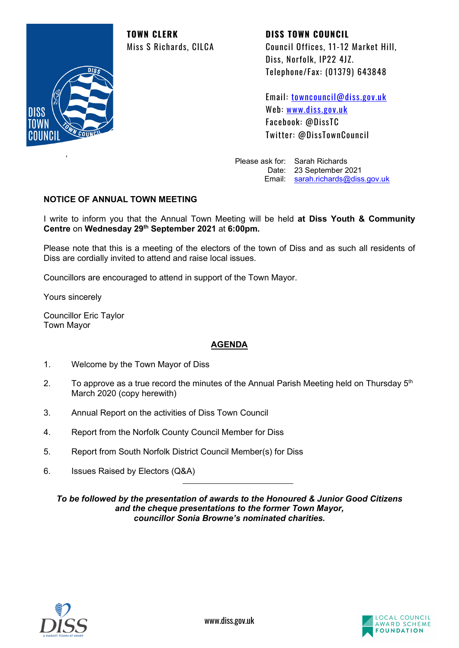**TOWN CLERK DISS TOWN COUNCIL**



,

Miss S Richards, CILCA Council Offices, 11-12 Market Hill, Diss, Norfolk, IP22 4JZ. Telephone/Fax: (01379) 643848

> Email: [towncouncil@diss.gov.uk](mailto:towncouncil@diss.gov.uk) Web: [www.diss.gov.uk](http://www.diss.gov.uk/) Facebook: @DissTC Twitter: @DissTownCouncil

Please ask for: Sarah Richards Date: 23 September 2021 Email: [sarah.richards@diss.gov.uk](mailto:sarah.richards@diss.gov.uk)

# **NOTICE OF ANNUAL TOWN MEETING**

I write to inform you that the Annual Town Meeting will be held **at Diss Youth & Community Centre** on **Wednesday 29th September 2021** at **6:00pm.**

Please note that this is a meeting of the electors of the town of Diss and as such all residents of Diss are cordially invited to attend and raise local issues.

Councillors are encouraged to attend in support of the Town Mayor.

Yours sincerely

Councillor Eric Taylor Town Mayor

#### **AGENDA**

- 1. Welcome by the Town Mayor of Diss
- 2. To approve as a true record the minutes of the Annual Parish Meeting held on Thursday  $5<sup>th</sup>$ March 2020 (copy herewith)
- 3. Annual Report on the activities of Diss Town Council
- 4. Report from the Norfolk County Council Member for Diss
- 5. Report from South Norfolk District Council Member(s) for Diss
- 6. Issues Raised by Electors (Q&A)

*To be followed by the presentation of awards to the Honoured & Junior Good Citizens and the cheque presentations to the former Town Mayor, councillor Sonia Browne's nominated charities.*



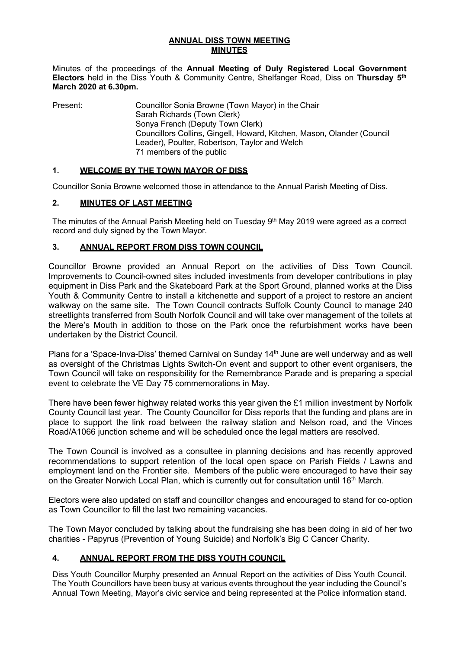#### **ANNUAL DISS TOWN MEETING MINUTES**

Minutes of the proceedings of the **Annual Meeting of Duly Registered Local Government Electors** held in the Diss Youth & Community Centre, Shelfanger Road, Diss on **Thursday 5th March 2020 at 6.30pm.**

Present: Councillor Sonia Browne (Town Mayor) in the Chair Sarah Richards (Town Clerk) Sonya French (Deputy Town Clerk) Councillors Collins, Gingell, Howard, Kitchen, Mason, Olander (Council Leader), Poulter, Robertson, Taylor and Welch 71 members of the public

#### **1. WELCOME BY THE TOWN MAYOR OF DISS**

Councillor Sonia Browne welcomed those in attendance to the Annual Parish Meeting of Diss.

## **2. MINUTES OF LAST MEETING**

The minutes of the Annual Parish Meeting held on Tuesday 9<sup>th</sup> May 2019 were agreed as a correct record and duly signed by the Town Mayor.

## **3. ANNUAL REPORT FROM DISS TOWN COUNCIL**

Councillor Browne provided an Annual Report on the activities of Diss Town Council. Improvements to Council-owned sites included investments from developer contributions in play equipment in Diss Park and the Skateboard Park at the Sport Ground, planned works at the Diss Youth & Community Centre to install a kitchenette and support of a project to restore an ancient walkway on the same site. The Town Council contracts Suffolk County Council to manage 240 streetlights transferred from South Norfolk Council and will take over management of the toilets at the Mere's Mouth in addition to those on the Park once the refurbishment works have been undertaken by the District Council.

Plans for a 'Space-Inva-Diss' themed Carnival on Sunday 14<sup>th</sup> June are well underway and as well as oversight of the Christmas Lights Switch-On event and support to other event organisers, the Town Council will take on responsibility for the Remembrance Parade and is preparing a special event to celebrate the VE Day 75 commemorations in May.

There have been fewer highway related works this year given the £1 million investment by Norfolk County Council last year. The County Councillor for Diss reports that the funding and plans are in place to support the link road between the railway station and Nelson road, and the Vinces Road/A1066 junction scheme and will be scheduled once the legal matters are resolved.

The Town Council is involved as a consultee in planning decisions and has recently approved recommendations to support retention of the local open space on Parish Fields / Lawns and employment land on the Frontier site. Members of the public were encouraged to have their say on the Greater Norwich Local Plan, which is currently out for consultation until 16<sup>th</sup> March.

Electors were also updated on staff and councillor changes and encouraged to stand for co-option as Town Councillor to fill the last two remaining vacancies.

The Town Mayor concluded by talking about the fundraising she has been doing in aid of her two charities - [Papyrus \(Prevention of Young Suicide\)](https://papyrus-uk.org/) and [Norfolk's Big C Cancer Charity.](http://www.big-c.co.uk/)

# **4. ANNUAL REPORT FROM THE DISS YOUTH COUNCIL**

Diss Youth Councillor Murphy presented an Annual Report on the activities of Diss Youth Council. The Youth Councillors have been busy at various events throughout the year including the Council's Annual Town Meeting, Mayor's civic service and being represented at the Police information stand.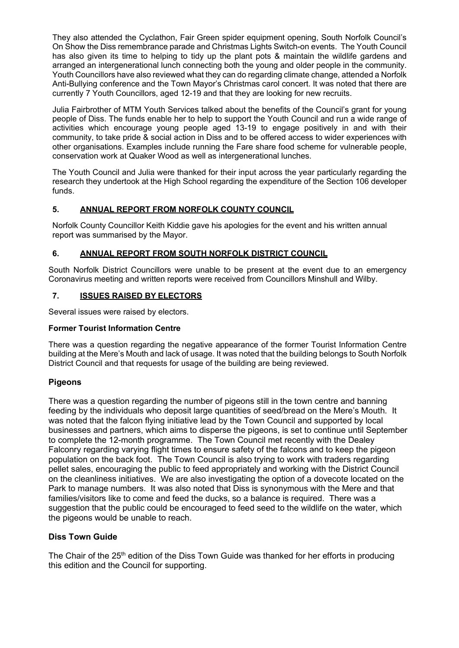They also attended the Cyclathon, Fair Green spider equipment opening, South Norfolk Council's On Show the Diss remembrance parade and Christmas Lights Switch-on events. The Youth Council has also given its time to helping to tidy up the plant pots & maintain the wildlife gardens and arranged an intergenerational lunch connecting both the young and older people in the community. Youth Councillors have also reviewed what they can do regarding climate change, attended a Norfolk Anti-Bullying conference and the Town Mayor's Christmas carol concert. It was noted that there are currently 7 Youth Councillors, aged 12-19 and that they are looking for new recruits.

Julia Fairbrother of MTM Youth Services talked about the benefits of the Council's grant for young people of Diss. The funds enable her to help to support the Youth Council and run a wide range of activities which encourage young people aged 13-19 to engage positively in and with their community, to take pride & social action in Diss and to be offered access to wider experiences with other organisations. Examples include running the Fare share food scheme for vulnerable people, conservation work at Quaker Wood as well as intergenerational lunches.

The Youth Council and Julia were thanked for their input across the year particularly regarding the research they undertook at the High School regarding the expenditure of the Section 106 developer funds.

## **5. ANNUAL REPORT FROM NORFOLK COUNTY COUNCIL**

Norfolk County Councillor Keith Kiddie gave his apologies for the event and his written annual report was summarised by the Mayor.

#### **6. ANNUAL REPORT FROM SOUTH NORFOLK DISTRICT COUNCIL**

South Norfolk District Councillors were unable to be present at the event due to an emergency Coronavirus meeting and written reports were received from Councillors Minshull and Wilby.

#### **7. ISSUES RAISED BY ELECTORS**

Several issues were raised by electors.

#### **Former Tourist Information Centre**

There was a question regarding the negative appearance of the former Tourist Information Centre building at the Mere's Mouth and lack of usage. It was noted that the building belongs to South Norfolk District Council and that requests for usage of the building are being reviewed.

#### **Pigeons**

There was a question regarding the number of pigeons still in the town centre and banning feeding by the individuals who deposit large quantities of seed/bread on the Mere's Mouth. It was noted that the falcon flying initiative lead by the Town Council and supported by local businesses and partners, which aims to disperse the pigeons, is set to continue until September to complete the 12-month programme. The Town Council met recently with the Dealey Falconry regarding varying flight times to ensure safety of the falcons and to keep the pigeon population on the back foot. The Town Council is also trying to work with traders regarding pellet sales, encouraging the public to feed appropriately and working with the District Council on the cleanliness initiatives. We are also investigating the option of a dovecote located on the Park to manage numbers. It was also noted that Diss is synonymous with the Mere and that families/visitors like to come and feed the ducks, so a balance is required. There was a suggestion that the public could be encouraged to feed seed to the wildlife on the water, which the pigeons would be unable to reach.

#### **Diss Town Guide**

The Chair of the 25<sup>th</sup> edition of the Diss Town Guide was thanked for her efforts in producing this edition and the Council for supporting.